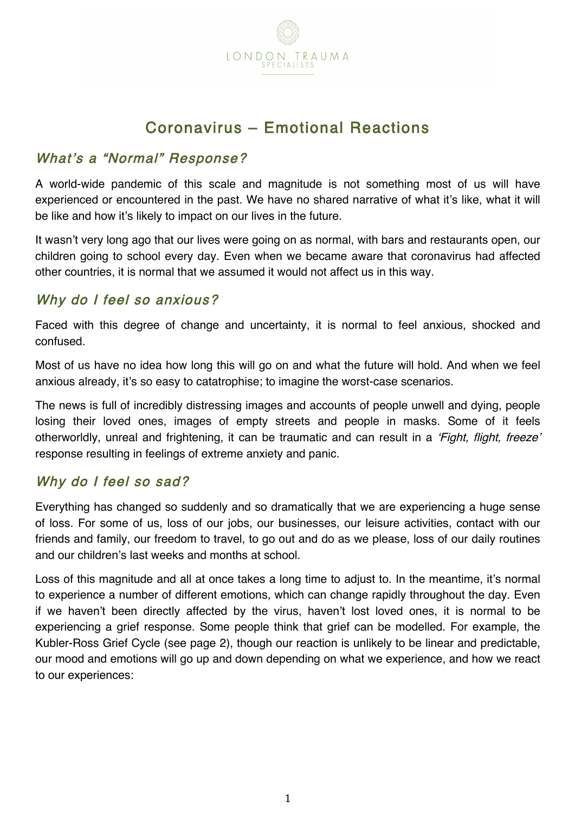

# Coronavirus – Emotional Reactions

### What's a "Normal" Response?

A world-wide pandemic of this scale and magnitude is not something most of us will have experienced or encountered in the past. We have no shared narrative of what it's like, what it will be like and how it's likely to impact on our lives in the future.

It wasn't very long ago that our lives were going on as normal, with bars and restaurants open, our children going to school every day. Even when we became aware that coronavirus had affected other countries, it is normal that we assumed it would not affect us in this way.

### Why do I feel so anxious?

Faced with this degree of change and uncertainty, it is normal to feel anxious, shocked and confused.

Most of us have no idea how long this will go on and what the future will hold. And when we feel anxious already, it's so easy to catatrophise; to imagine the worst-case scenarios.

The news is full of incredibly distressing images and accounts of people unwell and dying, people losing their loved ones, images of empty streets and people in masks. Some of it feels otherworldly, unreal and frightening, it can be traumatic and can result in a 'Fight, flight, freeze' response resulting in feelings of extreme anxiety and panic.

#### Why do I feel so sad?

Everything has changed so suddenly and so dramatically that we are experiencing a huge sense of loss. For some of us, loss of our jobs, our businesses, our leisure activities, contact with our friends and family, our freedom to travel, to go out and do as we please, loss of our daily routines and our children's last weeks and months at school.

Loss of this magnitude and all at once takes a long time to adjust to. In the meantime, it's normal to experience a number of different emotions, which can change rapidly throughout the day. Even if we haven't been directly affected by the virus, haven't lost loved ones, it is normal to be experiencing a grief response. Some people think that grief can be modelled. For example, the Kubler-Ross Grief Cycle (see page 2), though our reaction is unlikely to be linear and predictable, our mood and emotions will go up and down depending on what we experience, and how we react to our experiences: